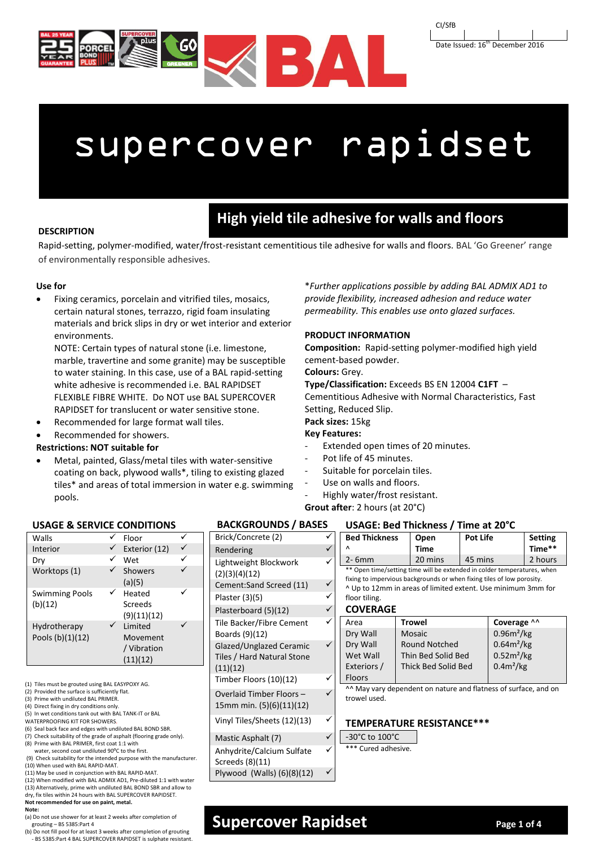



# supercover rapidset

### **DESCRIPTION**

## **High yield tile adhesive for walls and floors**

Rapid-setting, polymer-modified, water/frost-resistant cementitious tile adhesive for walls and floors. BAL 'Go Greener' range of environmentally responsible adhesives.

### **Use for**

 Fixing ceramics, porcelain and vitrified tiles, mosaics, certain natural stones, terrazzo, rigid foam insulating materials and brick slips in dry or wet interior and exterior environments.

NOTE: Certain types of natural stone (i.e. limestone, marble, travertine and some granite) may be susceptible to water staining. In this case, use of a BAL rapid-setting white adhesive is recommended i.e. BAL RAPIDSET FLEXIBLE FIBRE WHITE. Do NOT use BAL SUPERCOVER RAPIDSET for translucent or water sensitive stone.

- Recommended for large format wall tiles.
- Recommended for showers.

### **Restrictions: NOT suitable for**

 Metal, painted, Glass/metal tiles with water-sensitive coating on back, plywood walls\*, tiling to existing glazed tiles\* and areas of total immersion in water e.g. swimming pools.

\**Further applications possible by adding BAL ADMIX AD1 to provide flexibility, increased adhesion and reduce water permeability. This enables use onto glazed surfaces.* 

### **PRODUCT INFORMATION**

**Composition:** Rapid-setting polymer-modified high yield cement-based powder.

### **Colours:** Grey.

**Type/Classification:** Exceeds BS EN 12004 **C1FT** –

Cementitious Adhesive with Normal Characteristics, Fast Setting, Reduced Slip.

### **Pack sizes:** 15kg

### **Key Features:**

- Extended open times of 20 minutes.
- Pot life of 45 minutes.
- Suitable for porcelain tiles.
- Use on walls and floors.
- Highly water/frost resistant.

### **Grout after**: 2 hours (at 20°C)

### **USAGE & SERVICE CONDITIONS**

| Walls                            | Floor                                                 |  |
|----------------------------------|-------------------------------------------------------|--|
| Interior                         | Exterior (12)                                         |  |
| Dry                              | Wet                                                   |  |
| Worktops (1)                     | <b>Showers</b><br>(a)(5)                              |  |
| <b>Swimming Pools</b><br>(b)(12) | Heated<br>Screeds<br>(9)(11)(12)                      |  |
| Hydrotherapy<br>Pools (b)(1)(12) | <b>Limited</b><br>Movement<br>/ Vibration<br>(11)(12) |  |

- (1) Tiles must be grouted using BAL EASYPOXY AG.
- (2) Provided the surface is sufficiently flat.
- (3) Prime with undiluted BAL PRIMER.
- (4) Direct fixing in dry conditions only. (5) In wet conditions tank out with BAL TANK-IT or BAL
- WATERPROOFING KIT FOR SHOWERS.
- (6) Seal back face and edges with undiluted BAL BOND SBR.
- (7) Check suitability of the grade of asphalt (flooring grade only). (8) Prime with BAL PRIMER, first coat 1:1 with
- 
- water, second coat undiluted 90°C to the first (9) Check suitability for the intended purpose with the manufacturer.
- (10) When used with BAL RAPID-MAT.
- (11) May be used in conjunction with BAL RAPID-MAT.
- (12) When modified with BAL ADMIX AD1, Pre-diluted 1:1 with water
- (13) Alternatively, prime with undiluted BAL BOND SBR and allow to dry, fix tiles within 24 hours with BAL SUPERCOVER RAPIDSET.
- **Not recommended for use on paint, metal. Note:**

- (a) Do not use shower for at least 2 weeks after completion of grouting – BS 5385:Part 4
- (b) Do not fill pool for at least 3 weeks after completion of grouting

### - BS 5385:Part 4 BAL SUPERCOVER RAPIDSET is sulphate resistant.

#### **USAGE: Bed Thickness / Time at 20°C BACKGROUNDS / BASES**

| Brick/Concrete (2)                                                | ı           |
|-------------------------------------------------------------------|-------------|
| Rendering                                                         |             |
| Lightweight Blockwork<br>(2)(3)(4)(12)                            |             |
| Cement:Sand Screed (11)                                           |             |
| Plaster (3)(5)                                                    | f           |
| Plasterboard (5)(12)                                              |             |
| <b>Tile Backer/Fibre Cement</b><br>Boards (9)(12)                 | I<br>I      |
| Glazed/Unglazed Ceramic<br>Tiles / Hard Natural Stone<br>(11)(12) | Į<br>ا<br>ا |
| Timber Floors (10)(12)                                            | ŀ           |
| Overlaid Timber Floors-<br>15mm min. (5)(6)(11)(12)               | t           |
| Vinyl Tiles/Sheets (12)(13)                                       |             |
| Mastic Asphalt (7)                                                |             |
| Anhydrite/Calcium Sulfate<br>Screeds (8)(11)                      |             |
| Plywood (Walls) (6)(8)(12)                                        |             |

| ✓            |                                                                         | <b>Bed Thickness</b> |                      | Open                                                                   | <b>Pot Life</b>        |             | <b>Setting</b> |
|--------------|-------------------------------------------------------------------------|----------------------|----------------------|------------------------------------------------------------------------|------------------------|-------------|----------------|
| $\checkmark$ | Λ                                                                       |                      |                      | Time                                                                   |                        |             | Time**         |
| ✓            | $2 - 6$ mm                                                              |                      | 20 mins              | 45 mins                                                                |                        | 2 hours     |                |
|              | ** Open time/setting time will be extended in colder temperatures, when |                      |                      |                                                                        |                        |             |                |
| $\checkmark$ |                                                                         |                      |                      | fixing to impervious backgrounds or when fixing tiles of low porosity. |                        |             |                |
| ✓            |                                                                         |                      |                      | ^ Up to 12mm in areas of limited extent. Use minimum 3mm for           |                        |             |                |
|              |                                                                         | floor tiling.        |                      |                                                                        |                        |             |                |
|              | $\checkmark$<br><b>COVERAGE</b>                                         |                      |                      |                                                                        |                        |             |                |
| ✓            |                                                                         | Area                 |                      | <b>Trowel</b>                                                          |                        | Coverage ^^ |                |
|              |                                                                         | Dry Wall             | <b>Mosaic</b>        |                                                                        | 0.96m <sup>2</sup> /kg |             |                |
|              |                                                                         | Dry Wall             | <b>Round Notched</b> |                                                                        | $0.64m^2/kg$           |             |                |
|              |                                                                         | Wet Wall             |                      | $0.52m^2/kg$<br>Thin Bed Solid Bed                                     |                        |             |                |
|              |                                                                         | Exteriors /          |                      | $0.4m^2/kg$<br>Thick Bed Solid Bed                                     |                        |             |                |
| ✓            |                                                                         | <b>Floors</b>        |                      |                                                                        |                        |             |                |
|              | ^^ May vary dependent on nature and flatness of surface, and on         |                      |                      |                                                                        |                        |             |                |
|              | trowel used.                                                            |                      |                      |                                                                        |                        |             |                |
|              |                                                                         |                      |                      |                                                                        |                        |             |                |
| ✓            |                                                                         |                      |                      |                                                                        |                        |             |                |
|              | <b>TEMPERATURE RESISTANCE***</b>                                        |                      |                      |                                                                        |                        |             |                |
| $\checkmark$ | -30°C to 100°C                                                          |                      |                      |                                                                        |                        |             |                |
| ✓            | *** Cured adhesive.                                                     |                      |                      |                                                                        |                        |             |                |
|              |                                                                         |                      |                      |                                                                        |                        |             |                |
|              |                                                                         |                      |                      |                                                                        |                        |             |                |
|              |                                                                         |                      |                      |                                                                        |                        |             |                |

### **Supercover Rapidset Page 1 of 4**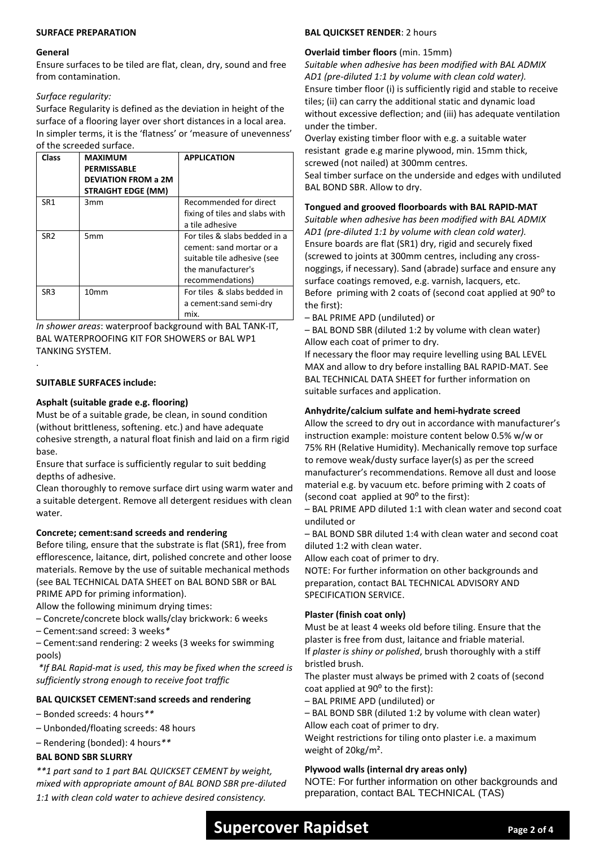### **SURFACE PREPARATION**

#### **General**

Ensure surfaces to be tiled are flat, clean, dry, sound and free from contamination.

### *Surface regularity:*

Surface Regularity is defined as the deviation in height of the surface of a flooring layer over short distances in a local area. In simpler terms, it is the 'flatness' or 'measure of unevenness' of the screeded surface.

| <b>Class</b>    | <b>MAXIMUM</b><br><b>PERMISSABLE</b><br><b>DEVIATION FROM a 2M</b><br><b>STRAIGHT EDGE (MM)</b> | <b>APPLICATION</b>                                                                                                                 |
|-----------------|-------------------------------------------------------------------------------------------------|------------------------------------------------------------------------------------------------------------------------------------|
| SR1             | 3mm                                                                                             | Recommended for direct<br>fixing of tiles and slabs with<br>a tile adhesive                                                        |
| SR <sub>2</sub> | 5 <sub>mm</sub>                                                                                 | For tiles & slabs bedded in a<br>cement: sand mortar or a<br>suitable tile adhesive (see<br>the manufacturer's<br>recommendations) |
| SR <sub>3</sub> | 10mm                                                                                            | For tiles & slabs bedded in<br>a cement:sand semi-dry<br>mix.                                                                      |

*In shower areas*: waterproof background with BAL TANK-IT, BAL WATERPROOFING KIT FOR SHOWERS or BAL WP1 TANKING SYSTEM.

### **SUITABLE SURFACES include:**

.

### **Asphalt (suitable grade e.g. flooring)**

Must be of a suitable grade, be clean, in sound condition (without brittleness, softening. etc.) and have adequate cohesive strength, a natural float finish and laid on a firm rigid base.

Ensure that surface is sufficiently regular to suit bedding depths of adhesive.

Clean thoroughly to remove surface dirt using warm water and a suitable detergent. Remove all detergent residues with clean water.

### **Concrete; cement:sand screeds and rendering**

Before tiling, ensure that the substrate is flat (SR1), free from efflorescence, laitance, dirt, polished concrete and other loose materials. Remove by the use of suitable mechanical methods (see BAL TECHNICAL DATA SHEET on BAL BOND SBR or BAL PRIME APD for priming information).

Allow the following minimum drying times:

- Concrete/concrete block walls/clay brickwork: 6 weeks
- Cement:sand screed: 3 weeks*\**

– Cement:sand rendering: 2 weeks (3 weeks for swimming pools)

*\*If BAL Rapid-mat is used, this may be fixed when the screed is sufficiently strong enough to receive foot traffic* 

### **BAL QUICKSET CEMENT:sand screeds and rendering**

– Bonded screeds: 4 hours*\*\**

- Unbonded/floating screeds: 48 hours
- Rendering (bonded): 4 hours*\*\**

### **BAL BOND SBR SLURRY**

*\*\*1 part sand to 1 part BAL QUICKSET CEMENT by weight, mixed with appropriate amount of BAL BOND SBR pre-diluted 1:1 with clean cold water to achieve desired consistency.*

### **BAL QUICKSET RENDER**: 2 hours

### **Overlaid timber floors** (min. 15mm)

*Suitable when adhesive has been modified with BAL ADMIX AD1 (pre-diluted 1:1 by volume with clean cold water).* Ensure timber floor (i) is sufficiently rigid and stable to receive tiles; (ii) can carry the additional static and dynamic load without excessive deflection; and (iii) has adequate ventilation under the timber.

Overlay existing timber floor with e.g. a suitable water resistant grade e.g marine plywood, min. 15mm thick, screwed (not nailed) at 300mm centres.

Seal timber surface on the underside and edges with undiluted BAL BOND SBR. Allow to dry.

### **Tongued and grooved floorboards with BAL RAPID-MAT**

*Suitable when adhesive has been modified with BAL ADMIX AD1 (pre-diluted 1:1 by volume with clean cold water).* Ensure boards are flat (SR1) dry, rigid and securely fixed (screwed to joints at 300mm centres, including any crossnoggings, if necessary). Sand (abrade) surface and ensure any surface coatings removed, e.g. varnish, lacquers, etc. Before priming with 2 coats of (second coat applied at 90<sup>o</sup> to the first):

– BAL PRIME APD (undiluted) or

– BAL BOND SBR (diluted 1:2 by volume with clean water) Allow each coat of primer to dry.

If necessary the floor may require levelling using BAL LEVEL MAX and allow to dry before installing BAL RAPID-MAT. See BAL TECHNICAL DATA SHEET for further information on suitable surfaces and application.

### **Anhydrite/calcium sulfate and hemi-hydrate screed**

Allow the screed to dry out in accordance with manufacturer's instruction example: moisture content below 0.5% w/w or 75% RH (Relative Humidity). Mechanically remove top surface to remove weak/dusty surface layer(s) as per the screed manufacturer's recommendations. Remove all dust and loose material e.g. by vacuum etc. before priming with 2 coats of (second coat applied at  $90^{\circ}$  to the first):

– BAL PRIME APD diluted 1:1 with clean water and second coat undiluted or

– BAL BOND SBR diluted 1:4 with clean water and second coat diluted 1:2 with clean water.

Allow each coat of primer to dry.

NOTE: For further information on other backgrounds and preparation, contact BAL TECHNICAL ADVISORY AND SPECIFICATION SERVICE.

### **Plaster (finish coat only)**

Must be at least 4 weeks old before tiling. Ensure that the plaster is free from dust, laitance and friable material. If *plaster is shiny or polished*, brush thoroughly with a stiff bristled brush.

The plaster must always be primed with 2 coats of (second coat applied at 90<sup>°</sup> to the first):

– BAL PRIME APD (undiluted) or

– BAL BOND SBR (diluted 1:2 by volume with clean water) Allow each coat of primer to dry.

Weight restrictions for tiling onto plaster i.e. a maximum weight of 20kg/m².

### **Plywood walls (internal dry areas only)**

NOTE: For further information on other backgrounds and preparation, contact BAL TECHNICAL (TAS)

## **Supercover Rapidset Page** 2 of 4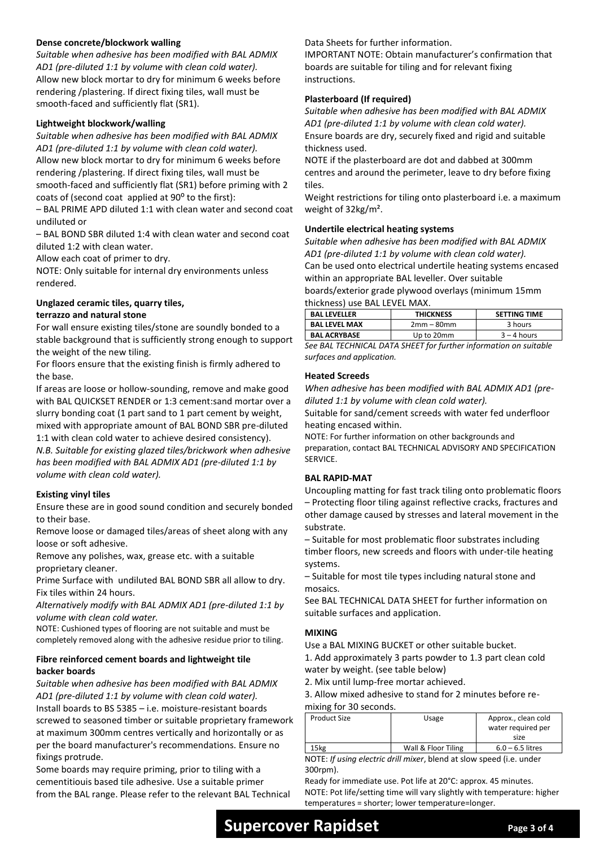### **Dense concrete/blockwork walling**

*Suitable when adhesive has been modified with BAL ADMIX AD1 (pre-diluted 1:1 by volume with clean cold water).* Allow new block mortar to dry for minimum 6 weeks before rendering /plastering. If direct fixing tiles, wall must be smooth-faced and sufficiently flat (SR1).

### **Lightweight blockwork/walling**

*Suitable when adhesive has been modified with BAL ADMIX AD1 (pre-diluted 1:1 by volume with clean cold water).*

Allow new block mortar to dry for minimum 6 weeks before rendering /plastering. If direct fixing tiles, wall must be

smooth-faced and sufficiently flat (SR1) before priming with 2 coats of (second coat applied at  $90^{\circ}$  to the first):

– BAL PRIME APD diluted 1:1 with clean water and second coat undiluted or

– BAL BOND SBR diluted 1:4 with clean water and second coat diluted 1:2 with clean water.

Allow each coat of primer to dry.

NOTE: Only suitable for internal dry environments unless rendered.

### **Unglazed ceramic tiles, quarry tiles,**

### **terrazzo and natural stone**

For wall ensure existing tiles/stone are soundly bonded to a stable background that is sufficiently strong enough to support the weight of the new tiling.

For floors ensure that the existing finish is firmly adhered to the base.

If areas are loose or hollow-sounding, remove and make good with BAL QUICKSET RENDER or 1:3 cement:sand mortar over a slurry bonding coat (1 part sand to 1 part cement by weight, mixed with appropriate amount of BAL BOND SBR pre-diluted

1:1 with clean cold water to achieve desired consistency). *N.B. Suitable for existing glazed tiles/brickwork when adhesive has been modified with BAL ADMIX AD1 (pre-diluted 1:1 by volume with clean cold water).*

### **Existing vinyl tiles**

Ensure these are in good sound condition and securely bonded to their base.

Remove loose or damaged tiles/areas of sheet along with any loose or soft adhesive.

Remove any polishes, wax, grease etc. with a suitable proprietary cleaner.

Prime Surface with undiluted BAL BOND SBR all allow to dry. Fix tiles within 24 hours.

*Alternatively modify with BAL ADMIX AD1 (pre-diluted 1:1 by volume with clean cold water.*

NOTE: Cushioned types of flooring are not suitable and must be completely removed along with the adhesive residue prior to tiling.

### **Fibre reinforced cement boards and lightweight tile backer boards**

*Suitable when adhesive has been modified with BAL ADMIX AD1 (pre-diluted 1:1 by volume with clean cold water).* Install boards to BS 5385 – i.e. moisture-resistant boards screwed to seasoned timber or suitable proprietary framework at maximum 300mm centres vertically and horizontally or as per the board manufacturer's recommendations. Ensure no fixings protrude.

Some boards may require priming, prior to tiling with a cementitiouis based tile adhesive. Use a suitable primer from the BAL range. Please refer to the relevant BAL Technical Data Sheets for further information.

IMPORTANT NOTE: Obtain manufacturer's confirmation that boards are suitable for tiling and for relevant fixing instructions.

### **Plasterboard (If required)**

*Suitable when adhesive has been modified with BAL ADMIX AD1 (pre-diluted 1:1 by volume with clean cold water).* Ensure boards are dry, securely fixed and rigid and suitable thickness used.

NOTE if the plasterboard are dot and dabbed at 300mm centres and around the perimeter, leave to dry before fixing tiles.

Weight restrictions for tiling onto plasterboard i.e. a maximum weight of 32kg/m².

### **Undertile electrical heating systems**

*Suitable when adhesive has been modified with BAL ADMIX AD1 (pre-diluted 1:1 by volume with clean cold water).* Can be used onto electrical undertile heating systems encased within an appropriate BAL leveller. Over suitable

boards/exterior grade plywood overlays (minimum 15mm thickness) use BAL LEVEL MAX.

| <b>BAL LEVELLER</b>  | <b>THICKNESS</b> | <b>SETTING TIME</b> |
|----------------------|------------------|---------------------|
| <b>BAL LEVEL MAX</b> | $2mm - 80mm$     | 3 hours             |
| <b>BAL ACRYBASE</b>  | Up to 20mm       | $3 - 4$ hours       |
|                      |                  |                     |

*See BAL TECHNICAL DATA SHEET for further information on suitable surfaces and application.*

### **Heated Screeds**

*When adhesive has been modified with BAL ADMIX AD1 (prediluted 1:1 by volume with clean cold water).*

Suitable for sand/cement screeds with water fed underfloor heating encased within.

NOTE: For further information on other backgrounds and preparation, contact BAL TECHNICAL ADVISORY AND SPECIFICATION SERVICE.

### **BAL RAPID-MAT**

Uncoupling matting for fast track tiling onto problematic floors

– Protecting floor tiling against reflective cracks, fractures and other damage caused by stresses and lateral movement in the substrate.

– Suitable for most problematic floor substrates including timber floors, new screeds and floors with under-tile heating systems.

– Suitable for most tile types including natural stone and mosaics.

See BAL TECHNICAL DATA SHEET for further information on suitable surfaces and application.

### **MIXING**

Use a BAL MIXING BUCKET or other suitable bucket.

1. Add approximately 3 parts powder to 1.3 part clean cold water by weight. (see table below)

2. Mix until lump-free mortar achieved.

3. Allow mixed adhesive to stand for 2 minutes before re-

mixing for 30 seconds.

| <b>Product Size</b> | Usage               | Approx., clean cold |  |
|---------------------|---------------------|---------------------|--|
|                     |                     | water required per  |  |
|                     |                     | size                |  |
| .5kg                | Wall & Floor Tiling | $6.0 - 6.5$ litres  |  |

NOTE: *If using electric drill mixer*, blend at slow speed (i.e. under 300rpm).

Ready for immediate use. Pot life at 20°C: approx. 45 minutes. NOTE: Pot life/setting time will vary slightly with temperature: higher temperatures = shorter; lower temperature=longer.

### **Supercover Rapidset Page 3 of 4**